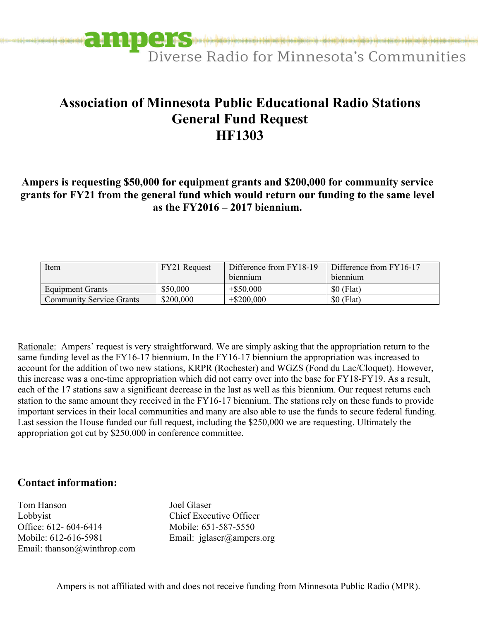

## **Association of Minnesota Public Educational Radio Stations General Fund Request HF1303**

**Ampers is requesting \$50,000 for equipment grants and \$200,000 for community service grants for FY21 from the general fund which would return our funding to the same level as the FY2016 – 2017 biennium.** 

| Item                            | FY21 Request | Difference from FY18-19<br>biennium | Difference from FY16-17<br>biennium |
|---------------------------------|--------------|-------------------------------------|-------------------------------------|
| Equipment Grants                | \$50,000     | $+$ \$50,000                        | $$0$ (Flat)                         |
| <b>Community Service Grants</b> | \$200,000    | $+$ \$200,000                       | $$0$ (Flat)                         |

Rationale: Ampers' request is very straightforward. We are simply asking that the appropriation return to the same funding level as the FY16-17 biennium. In the FY16-17 biennium the appropriation was increased to account for the addition of two new stations, KRPR (Rochester) and WGZS (Fond du Lac/Cloquet). However, this increase was a one-time appropriation which did not carry over into the base for FY18-FY19. As a result, each of the 17 stations saw a significant decrease in the last as well as this biennium. Our request returns each station to the same amount they received in the FY16-17 biennium. The stations rely on these funds to provide important services in their local communities and many are also able to use the funds to secure federal funding. Last session the House funded our full request, including the \$250,000 we are requesting. Ultimately the appropriation got cut by \$250,000 in conference committee.

## **Contact information:**

Tom Hanson Joel Glaser Lobbyist Chief Executive Officer Office: 612- 604-6414 Mobile: 651-587-5550 Mobile: 612-616-5981 Email: jglaser@ampers.org Email: [thanson@winthrop.com](mailto:thanson@winthrop.com) 

Ampers is not affiliated with and does not receive funding from Minnesota Public Radio (MPR).